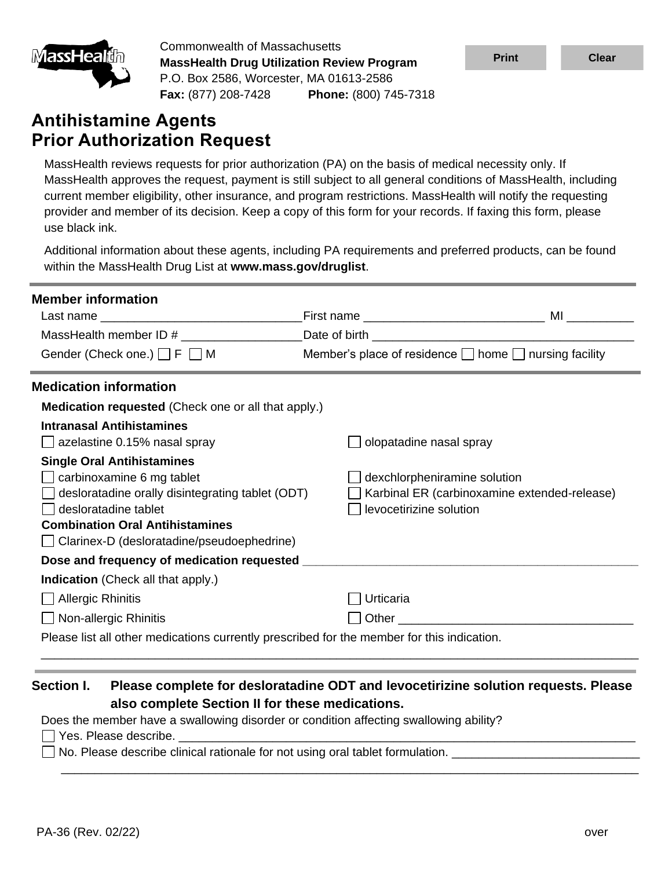

Commonwealth of Massachusetts **MassHealth Drug Utilization Review Program** P.O. Box 2586, Worcester, MA 01613-2586 **Fax:** (877) 208-7428 **Phone:** (800) 745-7318

# **Antihistamine Agents Prior Authorization Request**

MassHealth reviews requests for prior authorization (PA) on the basis of medical necessity only. If MassHealth approves the request, payment is still subject to all general conditions of MassHealth, including current member eligibility, other insurance, and program restrictions. MassHealth will notify the requesting provider and member of its decision. Keep a copy of this form for your records. If faxing this form, please use black ink.

Additional information about these agents, including PA requirements and preferred products, can be found within the MassHealth Drug List at **www.mass.gov/druglist**.

| <b>Member information</b>                                                                                                                                                                                                          |                         |                                                                                                                                                                                                                               |
|------------------------------------------------------------------------------------------------------------------------------------------------------------------------------------------------------------------------------------|-------------------------|-------------------------------------------------------------------------------------------------------------------------------------------------------------------------------------------------------------------------------|
|                                                                                                                                                                                                                                    |                         | MI and the state of the state of the state of the state of the state of the state of the state of the state of                                                                                                                |
|                                                                                                                                                                                                                                    |                         |                                                                                                                                                                                                                               |
| Gender (Check one.) F UM                                                                                                                                                                                                           |                         | Member's place of residence $\Box$ home $\Box$ nursing facility                                                                                                                                                               |
| <b>Medication information</b>                                                                                                                                                                                                      |                         |                                                                                                                                                                                                                               |
| <b>Medication requested</b> (Check one or all that apply.)                                                                                                                                                                         |                         |                                                                                                                                                                                                                               |
| <b>Intranasal Antihistamines</b><br>azelastine 0.15% nasal spray                                                                                                                                                                   | olopatadine nasal spray |                                                                                                                                                                                                                               |
| <b>Single Oral Antihistamines</b><br>carbinoxamine 6 mg tablet<br>desloratadine orally disintegrating tablet (ODT)<br>desloratadine tablet<br><b>Combination Oral Antihistamines</b><br>Clarinex-D (desloratadine/pseudoephedrine) | levocetirizine solution | dexchlorpheniramine solution<br>Karbinal ER (carbinoxamine extended-release)                                                                                                                                                  |
| <b>Indication</b> (Check all that apply.)                                                                                                                                                                                          |                         |                                                                                                                                                                                                                               |
| <b>J</b> Allergic Rhinitis                                                                                                                                                                                                         | Urticaria               |                                                                                                                                                                                                                               |
| Non-allergic Rhinitis                                                                                                                                                                                                              |                         | Other and the contract of the contract of the contract of the contract of the contract of the contract of the contract of the contract of the contract of the contract of the contract of the contract of the contract of the |
| Please list all other medications currently prescribed for the member for this indication.                                                                                                                                         |                         |                                                                                                                                                                                                                               |

### **Section I. Please complete for desloratadine ODT and levocetirizine solution requests. Please also complete Section II for these medications.**

\_\_\_\_\_\_\_\_\_\_\_\_\_\_\_\_\_\_\_\_\_\_\_\_\_\_\_\_\_\_\_\_\_\_\_\_\_\_\_\_\_\_\_\_\_\_\_\_\_\_\_\_\_\_\_\_\_\_\_\_\_\_\_\_\_\_\_\_\_\_\_\_\_\_\_\_\_\_\_\_\_\_\_\_\_\_

Does the member have a swallowing disorder or condition affecting swallowing ability?

 $\Box$  Yes. Please describe.

 $\Box$  No. Please describe clinical rationale for not using oral tablet formulation.  $\Box$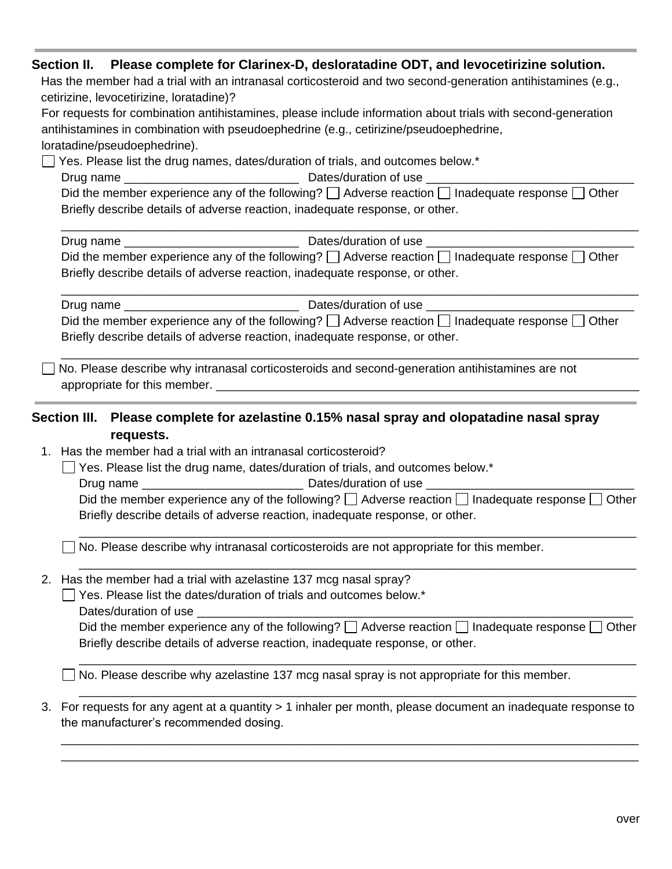|    | Section II. Please complete for Clarinex-D, desloratadine ODT, and levocetirizine solution.<br>Has the member had a trial with an intranasal corticosteroid and two second-generation antihistamines (e.g.,<br>cetirizine, levocetirizine, loratadine)?<br>For requests for combination antihistamines, please include information about trials with second-generation<br>antihistamines in combination with pseudoephedrine (e.g., cetirizine/pseudoephedrine,<br>loratadine/pseudoephedrine).<br>$\Box$ Yes. Please list the drug names, dates/duration of trials, and outcomes below.*<br>Did the member experience any of the following? $\Box$ Adverse reaction $\Box$ Inadequate response $\Box$ Other<br>Briefly describe details of adverse reaction, inadequate response, or other. |
|----|----------------------------------------------------------------------------------------------------------------------------------------------------------------------------------------------------------------------------------------------------------------------------------------------------------------------------------------------------------------------------------------------------------------------------------------------------------------------------------------------------------------------------------------------------------------------------------------------------------------------------------------------------------------------------------------------------------------------------------------------------------------------------------------------|
|    | Did the member experience any of the following? $\Box$ Adverse reaction $\Box$ Inadequate response $\Box$ Other<br>Briefly describe details of adverse reaction, inadequate response, or other.                                                                                                                                                                                                                                                                                                                                                                                                                                                                                                                                                                                              |
|    | Did the member experience any of the following? $\Box$ Adverse reaction $\Box$ Inadequate response $\Box$ Other<br>Briefly describe details of adverse reaction, inadequate response, or other.                                                                                                                                                                                                                                                                                                                                                                                                                                                                                                                                                                                              |
|    | No. Please describe why intranasal corticosteroids and second-generation antihistamines are not<br>Section III. Please complete for azelastine 0.15% nasal spray and olopatadine nasal spray<br>requests.                                                                                                                                                                                                                                                                                                                                                                                                                                                                                                                                                                                    |
|    | 1. Has the member had a trial with an intranasal corticosteroid?<br>Yes. Please list the drug name, dates/duration of trials, and outcomes below.*<br>Did the member experience any of the following? $\Box$ Adverse reaction $\Box$ Inadequate response $\Box$ Other<br>Briefly describe details of adverse reaction, inadequate response, or other.                                                                                                                                                                                                                                                                                                                                                                                                                                        |
|    | No. Please describe why intranasal corticosteroids are not appropriate for this member.                                                                                                                                                                                                                                                                                                                                                                                                                                                                                                                                                                                                                                                                                                      |
|    | 2. Has the member had a trial with azelastine 137 mcg nasal spray?<br>Yes. Please list the dates/duration of trials and outcomes below.*<br>Dates/duration of use<br>Did the member experience any of the following? □ Adverse reaction □ Inadequate response □<br>Other<br>Briefly describe details of adverse reaction, inadequate response, or other.                                                                                                                                                                                                                                                                                                                                                                                                                                     |
|    | No. Please describe why azelastine 137 mcg nasal spray is not appropriate for this member.                                                                                                                                                                                                                                                                                                                                                                                                                                                                                                                                                                                                                                                                                                   |
| 3. | For requests for any agent at a quantity > 1 inhaler per month, please document an inadequate response to<br>the manufacturer's recommended dosing.                                                                                                                                                                                                                                                                                                                                                                                                                                                                                                                                                                                                                                          |
|    |                                                                                                                                                                                                                                                                                                                                                                                                                                                                                                                                                                                                                                                                                                                                                                                              |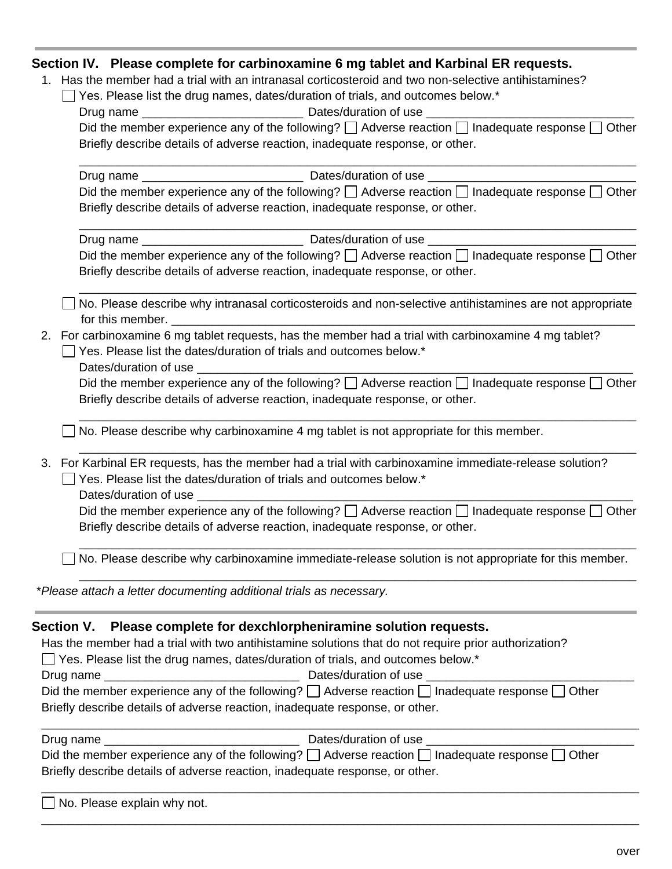#### **Section IV. Please complete for carbinoxamine 6 mg tablet and Karbinal ER requests.**

1. Has the member had a trial with an intranasal corticosteroid and two non-selective antihistamines?

| □ Yes. Please list the drug names, dates/duration of trials, and outcomes below.* |  |  |
|-----------------------------------------------------------------------------------|--|--|
|-----------------------------------------------------------------------------------|--|--|

| Drug name | Dates/duration of use                                                                                           |
|-----------|-----------------------------------------------------------------------------------------------------------------|
|           | Did the member experience any of the following? $\Box$ Adverse reaction $\Box$ Inadequate response $\Box$ Other |
|           | Briefly describe details of adverse reaction, inadequate response, or other.                                    |

| Drug name | Dates/duration of use                                                                                           |
|-----------|-----------------------------------------------------------------------------------------------------------------|
|           | Did the member experience any of the following? $\Box$ Adverse reaction $\Box$ Inadequate response $\Box$ Other |
|           | Briefly describe details of adverse reaction, inadequate response, or other.                                    |

\_\_\_\_\_\_\_\_\_\_\_\_\_\_\_\_\_\_\_\_\_\_\_\_\_\_\_\_\_\_\_\_\_\_\_\_\_\_\_\_\_\_\_\_\_\_\_\_\_\_\_\_\_\_\_\_\_\_\_\_\_\_\_\_\_\_\_\_\_\_\_\_\_\_\_\_\_\_\_\_\_\_\_

| Drug name | Dates/duration of use                                                                                           |
|-----------|-----------------------------------------------------------------------------------------------------------------|
|           | Did the member experience any of the following? $\Box$ Adverse reaction $\Box$ Inadequate response $\Box$ Other |
|           | Briefly describe details of adverse reaction, inadequate response, or other.                                    |

\_\_\_\_\_\_\_\_\_\_\_\_\_\_\_\_\_\_\_\_\_\_\_\_\_\_\_\_\_\_\_\_\_\_\_\_\_\_\_\_\_\_\_\_\_\_\_\_\_\_\_\_\_\_\_\_\_\_\_\_\_\_\_\_\_\_\_\_\_\_\_\_\_\_\_\_\_\_\_\_\_\_\_

\_\_\_\_\_\_\_\_\_\_\_\_\_\_\_\_\_\_\_\_\_\_\_\_\_\_\_\_\_\_\_\_\_\_\_\_\_\_\_\_\_\_\_\_\_\_\_\_\_\_\_\_\_\_\_\_\_\_\_\_\_\_\_\_\_\_\_\_\_\_\_\_\_\_\_\_\_\_\_\_\_\_\_

 $\Box$  No. Please describe why intranasal corticosteroids and non-selective antihistamines are not appropriate for this member.

- 2. For carbinoxamine 6 mg tablet requests, has the member had a trial with carbinoxamine 4 mg tablet?  $\Box$  Yes. Please list the dates/duration of trials and outcomes below.\*
	- Dates/duration of use

Did the member experience any of the following?  $\Box$  Adverse reaction  $\Box$  Inadequate response  $\Box$  Other Briefly describe details of adverse reaction, inadequate response, or other.

\_\_\_\_\_\_\_\_\_\_\_\_\_\_\_\_\_\_\_\_\_\_\_\_\_\_\_\_\_\_\_\_\_\_\_\_\_\_\_\_\_\_\_\_\_\_\_\_\_\_\_\_\_\_\_\_\_\_\_\_\_\_\_\_\_\_\_\_\_\_\_\_\_\_\_\_\_\_\_\_\_\_\_

\_\_\_\_\_\_\_\_\_\_\_\_\_\_\_\_\_\_\_\_\_\_\_\_\_\_\_\_\_\_\_\_\_\_\_\_\_\_\_\_\_\_\_\_\_\_\_\_\_\_\_\_\_\_\_\_\_\_\_\_\_\_\_\_\_\_\_\_\_\_\_\_\_\_\_\_\_\_\_\_\_\_\_

 $\Box$  No. Please describe why carbinoxamine 4 mg tablet is not appropriate for this member.

3. For Karbinal ER requests, has the member had a trial with carbinoxamine immediate-release solution?  $\Box$  Yes. Please list the dates/duration of trials and outcomes below.\*

Dates/duration of use

Did the member experience any of the following?  $\Box$  Adverse reaction  $\Box$  Inadequate response  $\Box$  Other Briefly describe details of adverse reaction, inadequate response, or other.

\_\_\_\_\_\_\_\_\_\_\_\_\_\_\_\_\_\_\_\_\_\_\_\_\_\_\_\_\_\_\_\_\_\_\_\_\_\_\_\_\_\_\_\_\_\_\_\_\_\_\_\_\_\_\_\_\_\_\_\_\_\_\_\_\_\_\_\_\_\_\_\_\_\_\_\_\_\_\_\_\_\_\_

\_\_\_\_\_\_\_\_\_\_\_\_\_\_\_\_\_\_\_\_\_\_\_\_\_\_\_\_\_\_\_\_\_\_\_\_\_\_\_\_\_\_\_\_\_\_\_\_\_\_\_\_\_\_\_\_\_\_\_\_\_\_\_\_\_\_\_\_\_\_\_\_\_\_\_\_\_\_\_\_\_\_\_

 $\Box$  No. Please describe why carbinoxamine immediate-release solution is not appropriate for this member.

\**Please attach a letter documenting additional trials as necessary.*

#### **Section V. Please complete for dexchlorpheniramine solution requests.**

Has the member had a trial with two antihistamine solutions that do not require prior authorization?

 $\Box$  Yes. Please list the drug names, dates/duration of trials, and outcomes below.\*

Drug name \_\_\_\_\_\_\_\_\_\_\_\_\_\_\_\_\_\_\_\_\_\_\_\_\_\_\_\_\_ Dates/duration of use \_\_\_\_\_\_\_\_\_\_\_\_\_\_\_\_\_\_\_\_\_\_\_\_\_\_\_\_\_\_\_

| Did the member experience any of the following? $\Box$ Adverse reaction $\Box$ Inadequate response $\Box$ Other |
|-----------------------------------------------------------------------------------------------------------------|
| Briefly describe details of adverse reaction, inadequate response, or other.                                    |

| Drug name                                                                    | Dates/duration of use                                                                                           |
|------------------------------------------------------------------------------|-----------------------------------------------------------------------------------------------------------------|
|                                                                              | Did the member experience any of the following? $\Box$ Adverse reaction $\Box$ Inadequate response $\Box$ Other |
| Briefly describe details of adverse reaction, inadequate response, or other. |                                                                                                                 |

\_\_\_\_\_\_\_\_\_\_\_\_\_\_\_\_\_\_\_\_\_\_\_\_\_\_\_\_\_\_\_\_\_\_\_\_\_\_\_\_\_\_\_\_\_\_\_\_\_\_\_\_\_\_\_\_\_\_\_\_\_\_\_\_\_\_\_\_\_\_\_\_\_\_\_\_\_\_\_\_\_\_\_\_\_\_\_\_\_

\_\_\_\_\_\_\_\_\_\_\_\_\_\_\_\_\_\_\_\_\_\_\_\_\_\_\_\_\_\_\_\_\_\_\_\_\_\_\_\_\_\_\_\_\_\_\_\_\_\_\_\_\_\_\_\_\_\_\_\_\_\_\_\_\_\_\_\_\_\_\_\_\_\_\_\_\_\_\_\_\_\_\_\_\_\_\_\_\_

\_\_\_\_\_\_\_\_\_\_\_\_\_\_\_\_\_\_\_\_\_\_\_\_\_\_\_\_\_\_\_\_\_\_\_\_\_\_\_\_\_\_\_\_\_\_\_\_\_\_\_\_\_\_\_\_\_\_\_\_\_\_\_\_\_\_\_\_\_\_\_\_\_\_\_\_\_\_\_\_\_\_\_\_\_\_\_\_\_

| $\Box$ No. Please explain why not. |
|------------------------------------|
|------------------------------------|